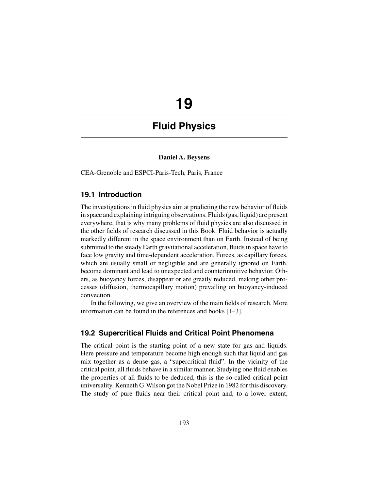# **19**

# **Fluid Physics**

# **Daniel A. Beysens**

CEA-Grenoble and ESPCI-Paris-Tech, Paris, France

# **19.1 Introduction**

The investigations in fluid physics aim at predicting the new behavior of fluids in space and explaining intriguing observations. Fluids (gas, liquid) are present everywhere, that is why many problems of fluid physics are also discussed in the other fields of research discussed in this Book. Fluid behavior is actually markedly different in the space environment than on Earth. Instead of being submitted to the steady Earth gravitational acceleration, fluids in space have to face low gravity and time-dependent acceleration. Forces, as capillary forces, which are usually small or negligible and are generally ignored on Earth, become dominant and lead to unexpected and counterintuitive behavior. Others, as buoyancy forces, disappear or are greatly reduced, making other processes (diffusion, thermocapillary motion) prevailing on buoyancy-induced convection.

In the following, we give an overview of the main fields of research. More information can be found in the references and books [1–3].

# **19.2 Supercritical Fluids and Critical Point Phenomena**

The critical point is the starting point of a new state for gas and liquids. Here pressure and temperature become high enough such that liquid and gas mix together as a dense gas, a "supercritical fluid". In the vicinity of the critical point, all fluids behave in a similar manner. Studying one fluid enables the properties of all fluids to be deduced, this is the so-called critical point universality. Kenneth G. Wilson got the Nobel Prize in 1982 for this discovery. The study of pure fluids near their critical point and, to a lower extent,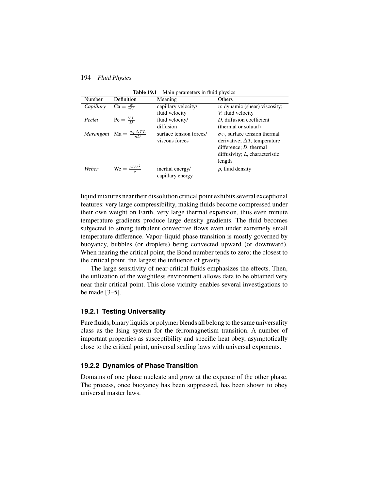| Number    | Definition                                            | Meaning                 | Others                               |
|-----------|-------------------------------------------------------|-------------------------|--------------------------------------|
| Capillary | $Ca = \frac{\sigma}{nV}$                              | capillary velocity/     | $\eta$ : dynamic (shear) viscosity;  |
|           |                                                       | fluid velocity          | V: fluid velocity                    |
| Peclet    | $\text{Pe} = \frac{VL}{D}$                            | fluid velocity/         | D, diffusion coefficient             |
|           |                                                       | diffusion               | (thermal or solutal)                 |
|           | <i>Marangoni</i> Ma = $\frac{\sigma_T \Delta TL}{nD}$ | surface tension forces/ | $\sigma_T$ , surface tension thermal |
|           |                                                       | viscous forces          | derivative; $\Delta T$ , temperature |
|           |                                                       |                         | difference; $D$ , thermal            |
|           |                                                       |                         | diffusivity; $L$ , characteristic    |
|           |                                                       |                         | length                               |
| Weber     | $\text{We} = \frac{\rho L V^2}{I}$                    | inertial energy/        | $\rho$ , fluid density               |
|           |                                                       | capillary energy        |                                      |

**Table 19.1** Main parameters in fluid physics

liquid mixtures near their dissolution critical point exhibits several exceptional features: very large compressibility, making fluids become compressed under their own weight on Earth, very large thermal expansion, thus even minute temperature gradients produce large density gradients. The fluid becomes subjected to strong turbulent convective flows even under extremely small temperature difference. Vapor–liquid phase transition is mostly governed by buoyancy, bubbles (or droplets) being convected upward (or downward). When nearing the critical point, the Bond number tends to zero; the closest to the critical point, the largest the influence of gravity.

The large sensitivity of near-critical fluids emphasizes the effects. Then, the utilization of the weightless environment allows data to be obtained very near their critical point. This close vicinity enables several investigations to be made [3–5].

#### **19.2.1 Testing Universality**

Pure fluids, binary liquids or polymer blends all belong to the same universality class as the Ising system for the ferromagnetism transition. A number of important properties as susceptibility and specific heat obey, asymptotically close to the critical point, universal scaling laws with universal exponents.

# **19.2.2 Dynamics of Phase Transition**

Domains of one phase nucleate and grow at the expense of the other phase. The process, once buoyancy has been suppressed, has been shown to obey universal master laws.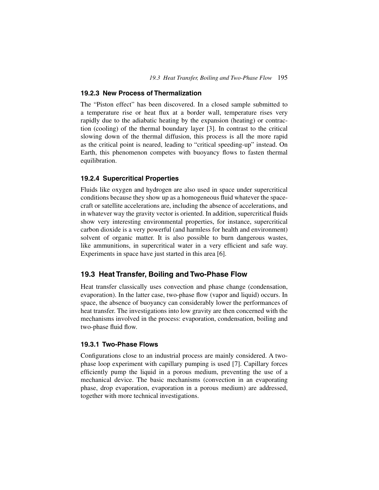#### **19.2.3 New Process of Thermalization**

The "Piston effect" has been discovered. In a closed sample submitted to a temperature rise or heat flux at a border wall, temperature rises very rapidly due to the adiabatic heating by the expansion (heating) or contraction (cooling) of the thermal boundary layer [3]. In contrast to the critical slowing down of the thermal diffusion, this process is all the more rapid as the critical point is neared, leading to "critical speeding-up" instead. On Earth, this phenomenon competes with buoyancy flows to fasten thermal equilibration.

# **19.2.4 Supercritical Properties**

Fluids like oxygen and hydrogen are also used in space under supercritical conditions because they show up as a homogeneous fluid whatever the spacecraft or satellite accelerations are, including the absence of accelerations, and in whatever way the gravity vector is oriented. In addition, supercritical fluids show very interesting environmental properties, for instance, supercritical carbon dioxide is a very powerful (and harmless for health and environment) solvent of organic matter. It is also possible to burn dangerous wastes, like ammunitions, in supercritical water in a very efficient and safe way. Experiments in space have just started in this area [6].

#### **19.3 Heat Transfer, Boiling and Two-Phase Flow**

Heat transfer classically uses convection and phase change (condensation, evaporation). In the latter case, two-phase flow (vapor and liquid) occurs. In space, the absence of buoyancy can considerably lower the performances of heat transfer. The investigations into low gravity are then concerned with the mechanisms involved in the process: evaporation, condensation, boiling and two-phase fluid flow.

#### **19.3.1 Two-Phase Flows**

Configurations close to an industrial process are mainly considered. A twophase loop experiment with capillary pumping is used [7]. Capillary forces efficiently pump the liquid in a porous medium, preventing the use of a mechanical device. The basic mechanisms (convection in an evaporating phase, drop evaporation, evaporation in a porous medium) are addressed, together with more technical investigations.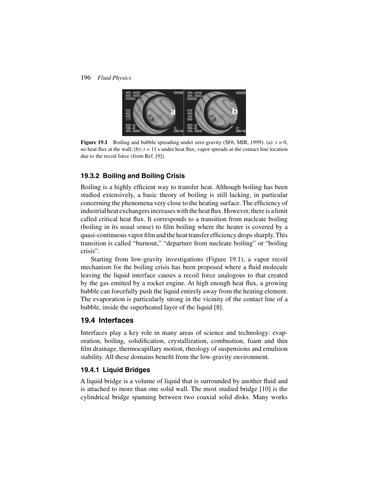

**Figure 19.1** Boiling and bubble spreading under zero gravity (SF6, MIR, 1999). (a):  $t = 0$ , no heat flux at the wall; (b): *t* = 11 s under heat flux, vapor spreads at the contact line location due to the recoil force (from Ref. [9]).

# **19.3.2 Boiling and Boiling Crisis**

Boiling is a highly efficient way to transfer heat. Although boiling has been studied extensively, a basic theory of boiling is still lacking, in particular concerning the phenomena very close to the heating surface. The efficiency of industrial heat exchangers increases with the heat flux. However, there is a limit called critical heat flux. It corresponds to a transition from nucleate boiling (boiling in its usual sense) to film boiling where the heater is covered by a quasi-continuous vapor film and the heat transfer efficiency drops sharply. This transition is called "burnout," "departure from nucleate boiling" or "boiling crisis".

Starting from low-gravity investigations (Figure 19.1), a vapor recoil mechanism for the boiling crisis has been proposed where a fluid molecule leaving the liquid interface causes a recoil force analogous to that created by the gas emitted by a rocket engine. At high enough heat flux, a growing bubble can forcefully push the liquid entirely away from the heating element. The evaporation is particularly strong in the vicinity of the contact line of a bubble, inside the superheated layer of the liquid [8].

# **19.4 Interfaces**

Interfaces play a key role in many areas of science and technology: evaporation, boiling, solidification, crystallization, combustion, foam and thin film drainage, thermocapillary motion, rheology of suspensions and emulsion stability. All these domains benefit from the low-gravity environment.

## **19.4.1 Liquid Bridges**

A liquid bridge is a volume of liquid that is surrounded by another fluid and is attached to more than one solid wall. The most studied bridge [10] is the cylindrical bridge spanning between two coaxial solid disks. Many works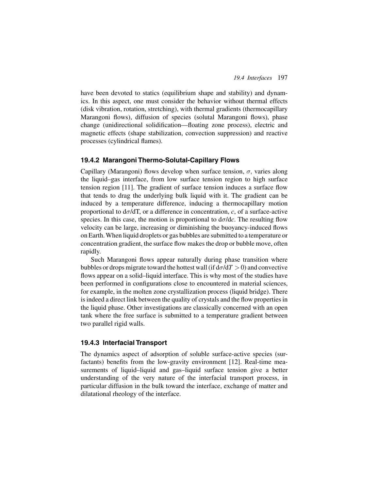have been devoted to statics (equilibrium shape and stability) and dynamics. In this aspect, one must consider the behavior without thermal effects (disk vibration, rotation, stretching), with thermal gradients (thermocapillary Marangoni flows), diffusion of species (solutal Marangoni flows), phase change (unidirectional solidification—floating zone process), electric and magnetic effects (shape stabilization, convection suppression) and reactive processes (cylindrical flames).

## **19.4.2 Marangoni Thermo-Solutal-Capillary Flows**

Capillary (Marangoni) flows develop when surface tension,  $\sigma$ , varies along the liquid–gas interface, from low surface tension region to high surface tension region [11]. The gradient of surface tension induces a surface flow that tends to drag the underlying bulk liquid with it. The gradient can be induced by a temperature difference, inducing a thermocapillary motion proportional to  $d\sigma/dT$ , or a difference in concentration, *c*, of a surface-active species. In this case, the motion is proportional to  $d\sigma/dc$ . The resulting flow velocity can be large, increasing or diminishing the buoyancy-induced flows on Earth.When liquid droplets or gas bubbles are submitted to a temperature or concentration gradient, the surface flow makes the drop or bubble move, often rapidly.

Such Marangoni flows appear naturally during phase transition where bubbles or drops migrate toward the hottest wall (if  $d\sigma/dT > 0$ ) and convective flows appear on a solid–liquid interface. This is why most of the studies have been performed in configurations close to encountered in material sciences, for example, in the molten zone crystallization process (liquid bridge). There is indeed a direct link between the quality of crystals and the flow properties in the liquid phase. Other investigations are classically concerned with an open tank where the free surface is submitted to a temperature gradient between two parallel rigid walls.

#### **19.4.3 Interfacial Transport**

The dynamics aspect of adsorption of soluble surface-active species (surfactants) benefits from the low-gravity environment [12]. Real-time measurements of liquid–liquid and gas–liquid surface tension give a better understanding of the very nature of the interfacial transport process, in particular diffusion in the bulk toward the interface, exchange of matter and dilatational rheology of the interface.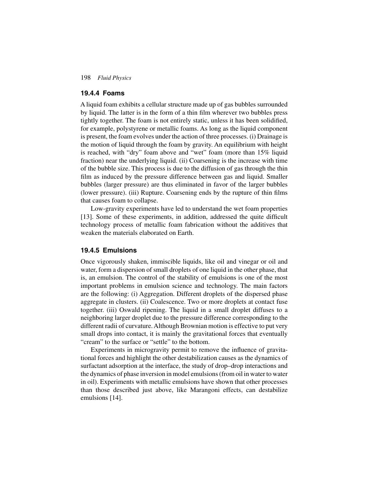## **19.4.4 Foams**

A liquid foam exhibits a cellular structure made up of gas bubbles surrounded by liquid. The latter is in the form of a thin film wherever two bubbles press tightly together. The foam is not entirely static, unless it has been solidified, for example, polystyrene or metallic foams. As long as the liquid component is present, the foam evolves under the action of three processes. (i) Drainage is the motion of liquid through the foam by gravity. An equilibrium with height is reached, with "dry" foam above and "wet" foam (more than 15% liquid fraction) near the underlying liquid. (ii) Coarsening is the increase with time of the bubble size. This process is due to the diffusion of gas through the thin film as induced by the pressure difference between gas and liquid. Smaller bubbles (larger pressure) are thus eliminated in favor of the larger bubbles (lower pressure). (iii) Rupture. Coarsening ends by the rupture of thin films that causes foam to collapse.

Low-gravity experiments have led to understand the wet foam properties [13]. Some of these experiments, in addition, addressed the quite difficult technology process of metallic foam fabrication without the additives that weaken the materials elaborated on Earth.

# **19.4.5 Emulsions**

Once vigorously shaken, immiscible liquids, like oil and vinegar or oil and water, form a dispersion of small droplets of one liquid in the other phase, that is, an emulsion. The control of the stability of emulsions is one of the most important problems in emulsion science and technology. The main factors are the following: (i) Aggregation. Different droplets of the dispersed phase aggregate in clusters. (ii) Coalescence. Two or more droplets at contact fuse together. (iii) Oswald ripening. The liquid in a small droplet diffuses to a neighboring larger droplet due to the pressure difference corresponding to the different radii of curvature. Although Brownian motion is effective to put very small drops into contact, it is mainly the gravitational forces that eventually "cream" to the surface or "settle" to the bottom.

Experiments in microgravity permit to remove the influence of gravitational forces and highlight the other destabilization causes as the dynamics of surfactant adsorption at the interface, the study of drop–drop interactions and the dynamics of phase inversion in model emulsions (from oil in water to water in oil). Experiments with metallic emulsions have shown that other processes than those described just above, like Marangoni effects, can destabilize emulsions [14].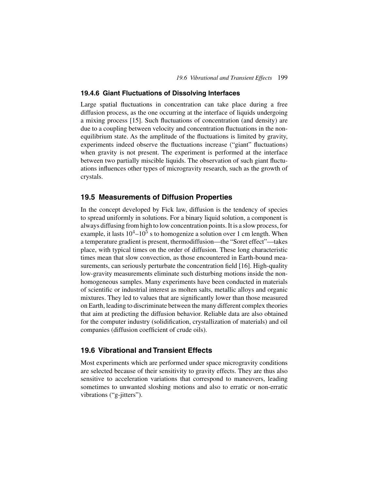#### **19.4.6 Giant Fluctuations of Dissolving Interfaces**

Large spatial fluctuations in concentration can take place during a free diffusion process, as the one occurring at the interface of liquids undergoing a mixing process [15]. Such fluctuations of concentration (and density) are due to a coupling between velocity and concentration fluctuations in the nonequilibrium state. As the amplitude of the fluctuations is limited by gravity, experiments indeed observe the fluctuations increase ("giant" fluctuations) when gravity is not present. The experiment is performed at the interface between two partially miscible liquids. The observation of such giant fluctuations influences other types of microgravity research, such as the growth of crystals.

# **19.5 Measurements of Diffusion Properties**

In the concept developed by Fick law, diffusion is the tendency of species to spread uniformly in solutions. For a binary liquid solution, a component is always diffusing from high to low concentration points. It is a slow process, for example, it lasts  $10^4$ – $10^5$  s to homogenize a solution over 1 cm length. When a temperature gradient is present, thermodiffusion—the "Soret effect"—takes place, with typical times on the order of diffusion. These long characteristic times mean that slow convection, as those encountered in Earth-bound measurements, can seriously perturbate the concentration field [16]. High-quality low-gravity measurements eliminate such disturbing motions inside the nonhomogeneous samples. Many experiments have been conducted in materials of scientific or industrial interest as molten salts, metallic alloys and organic mixtures. They led to values that are significantly lower than those measured on Earth, leading to discriminate between the many different complex theories that aim at predicting the diffusion behavior. Reliable data are also obtained for the computer industry (solidification, crystallization of materials) and oil companies (diffusion coefficient of crude oils).

# **19.6 Vibrational and Transient Effects**

Most experiments which are performed under space microgravity conditions are selected because of their sensitivity to gravity effects. They are thus also sensitive to acceleration variations that correspond to maneuvers, leading sometimes to unwanted sloshing motions and also to erratic or non-erratic vibrations ("g-jitters").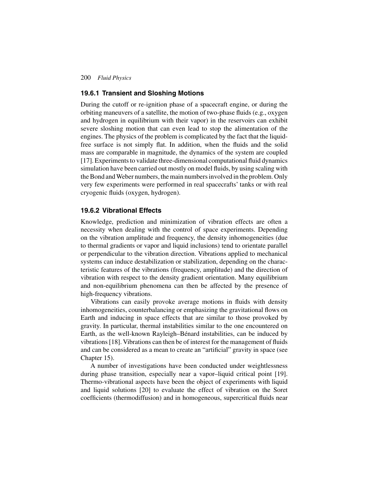# **19.6.1 Transient and Sloshing Motions**

During the cutoff or re-ignition phase of a spacecraft engine, or during the orbiting maneuvers of a satellite, the motion of two-phase fluids (e.g., oxygen and hydrogen in equilibrium with their vapor) in the reservoirs can exhibit severe sloshing motion that can even lead to stop the alimentation of the engines. The physics of the problem is complicated by the fact that the liquidfree surface is not simply flat. In addition, when the fluids and the solid mass are comparable in magnitude, the dynamics of the system are coupled [17]. Experiments to validate three-dimensional computational fluid dynamics simulation have been carried out mostly on model fluids, by using scaling with the Bond and Weber numbers, the main numbers involved in the problem. Only very few experiments were performed in real spacecrafts' tanks or with real cryogenic fluids (oxygen, hydrogen).

#### **19.6.2 Vibrational Effects**

Knowledge, prediction and minimization of vibration effects are often a necessity when dealing with the control of space experiments. Depending on the vibration amplitude and frequency, the density inhomogeneities (due to thermal gradients or vapor and liquid inclusions) tend to orientate parallel or perpendicular to the vibration direction. Vibrations applied to mechanical systems can induce destabilization or stabilization, depending on the characteristic features of the vibrations (frequency, amplitude) and the direction of vibration with respect to the density gradient orientation. Many equilibrium and non-equilibrium phenomena can then be affected by the presence of high-frequency vibrations.

Vibrations can easily provoke average motions in fluids with density inhomogeneities, counterbalancing or emphasizing the gravitational flows on Earth and inducing in space effects that are similar to those provoked by gravity. In particular, thermal instabilities similar to the one encountered on Earth, as the well-known Rayleigh–Bénard instabilities, can be induced by vibrations [18]. Vibrations can then be of interest for the management of fluids and can be considered as a mean to create an "artificial" gravity in space (see Chapter 15).

A number of investigations have been conducted under weightlessness during phase transition, especially near a vapor–liquid critical point [19]. Thermo-vibrational aspects have been the object of experiments with liquid and liquid solutions [20] to evaluate the effect of vibration on the Soret coefficients (thermodiffusion) and in homogeneous, supercritical fluids near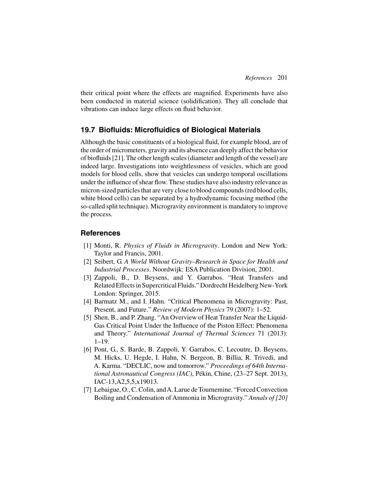their critical point where the effects are magnified. Experiments have also been conducted in material science (solidification). They all conclude that vibrations can induce large effects on fluid behavior.

# **19.7 Biofluids: Microfluidics of Biological Materials**

Although the basic constituents of a biological fluid, for example blood, are of the order of micrometers, gravity and its absence can deeply affect the behavior of biofluids [21]. The other length scales (diameter and length of the vessel) are indeed large. Investigations into weightlessness of vesicles, which are good models for blood cells, show that vesicles can undergo temporal oscillations under the influence of shear flow. These studies have also industry relevance as micron-sized particles that are very close to blood compounds (red blood cells, white blood cells) can be separated by a hydrodynamic focusing method (the so-called split technique). Microgravity environment is mandatory to improve the process.

# **References**

- [1] Monti, R. *Physics of Fluids in Microgravity*. London and New York: Taylor and Francis, 2001.
- [2] Seibert, G. *A World Without Gravity–Research in Space for Health and Industrial Processes*. Noordwijk: ESA Publication Division, 2001.
- [3] Zappoli, B., D. Beysens, and Y. Garrabos. "Heat Transfers and Related Effects in Supercritical Fluids." Dordrecht Heidelberg New-York London: Springer, 2015.
- [4] Barmatz M., and I. Hahn. "Critical Phenomena in Microgravity: Past, Present, and Future." *Review of Modern Physics* 79 (2007): 1–52.
- [5] Shen, B., and P. Zhang. "An Overview of Heat Transfer Near the Liquid-Gas Critical Point Under the Influence of the Piston Effect: Phenomena and Theory." *International Journal of Thermal Sciences* 71 (2013): 1–19.
- [6] Pont, G., S. Barde, B. Zappoli, Y. Garrabos, C. Lecoutre, D. Beysens, M. Hicks, U. Hegde, I. Hahn, N. Bergeon, B. Billia, R. Trivedi, and A. Karma. "DECLIC, now and tomorrow." *Proceedings of 64th International Astronautical Congress (IAC)*, Pékin, Chine, (23–27 Sept. 2013), IAC-13,A2,5,5,x19013.
- [7] Lebaigue, O., C. Colin, andA. Larue de Tournemine. "Forced Convection Boiling and Condensation of Ammonia in Microgravity." *Annals of [20]*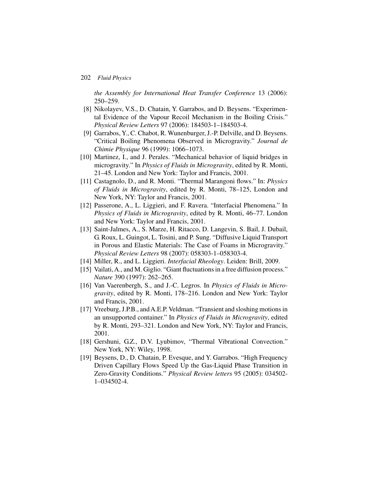*the Assembly for International Heat Transfer Conference* 13 (2006): 250–259.

- [8] Nikolayev, V.S., D. Chatain, Y. Garrabos, and D. Beysens. "Experimental Evidence of the Vapour Recoil Mechanism in the Boiling Crisis." *Physical Review Letters* 97 (2006): 184503-1–184503-4.
- [9] Garrabos, Y., C. Chabot, R. Wunenburger, J.-P. Delville, and D. Beysens. "Critical Boiling Phenomena Observed in Microgravity." *Journal de Chimie Physique* 96 (1999): 1066–1073.
- [10] Martinez, I., and J. Perales. "Mechanical behavior of liquid bridges in microgravity." In *Physics of Fluids in Microgravity*, edited by R. Monti, 21–45. London and New York: Taylor and Francis, 2001.
- [11] Castagnolo, D., and R. Monti. "Thermal Marangoni flows." In: *Physics of Fluids in Microgravity*, edited by R. Monti, 78–125, London and New York, NY: Taylor and Francis, 2001.
- [12] Passerone, A., L. Liggieri, and F. Ravera. "Interfacial Phenomena." In *Physics of Fluids in Microgravity*, edited by R. Monti, 46–77. London and New York: Taylor and Francis, 2001.
- [13] Saint-Jalmes, A., S. Marze, H. Ritacco, D. Langevin, S. Bail, J. Dubail, G. Roux, L. Guingot, L. Tosini, and P. Sung. "Diffusive Liquid Transport in Porous and Elastic Materials: The Case of Foams in Microgravity." *Physical Review Letters* 98 (2007): 058303-1–058303-4.
- [14] Miller, R., and L. Liggieri. *Interfacial Rheology*. Leiden: Brill, 2009.
- [15] Vailati, A., and M. Giglio. "Giant fluctuations in a free diffusion process." *Nature* 390 (1997): 262–265.
- [16] Van Vaerenbergh, S., and J.-C. Legros. In *Physics of Fluids in Microgravity*, edited by R. Monti, 178–216. London and New York: Taylor and Francis, 2001.
- [17] Vreeburg, J.P.B., andA.E.P. Veldman. "Transient and sloshing motions in an unsupported container." In *Physics of Fluids in Microgravity*, edited by R. Monti, 293–321. London and New York, NY: Taylor and Francis, 2001.
- [18] Gershuni, G.Z., D.V. Lyubimov, "Thermal Vibrational Convection." New York, NY: Wiley, 1998.
- [19] Beysens, D., D. Chatain, P. Evesque, and Y. Garrabos. "High Frequency Driven Capillary Flows Speed Up the Gas-Liquid Phase Transition in Zero-Gravity Conditions." *Physical Review letters* 95 (2005): 034502- 1–034502-4.